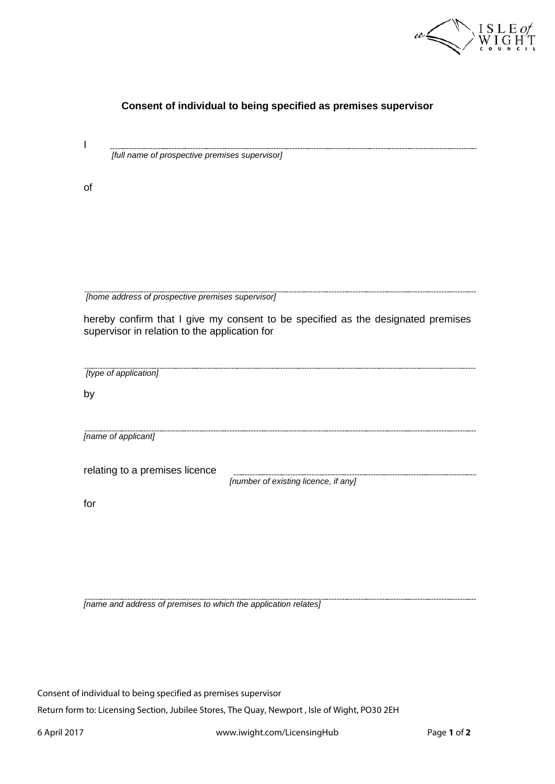

| [full name of prospective premises supervisor]                                   |
|----------------------------------------------------------------------------------|
|                                                                                  |
|                                                                                  |
|                                                                                  |
|                                                                                  |
|                                                                                  |
|                                                                                  |
| [home address of prospective premises supervisor]                                |
| hereby confirm that I give my consent to be specified as the designated premises |
| supervisor in relation to the application for                                    |
|                                                                                  |
|                                                                                  |
|                                                                                  |
|                                                                                  |
|                                                                                  |
|                                                                                  |
| [number of existing licence, if any]                                             |
|                                                                                  |
|                                                                                  |
|                                                                                  |
|                                                                                  |
|                                                                                  |
|                                                                                  |

**Consent of individual to being specified as premises supervisor**

Consent of individual to being specified as premises supervisor

Return form to: Licensing Section, Jubilee Stores, The Quay, Newport , Isle of Wight, PO30 2EH